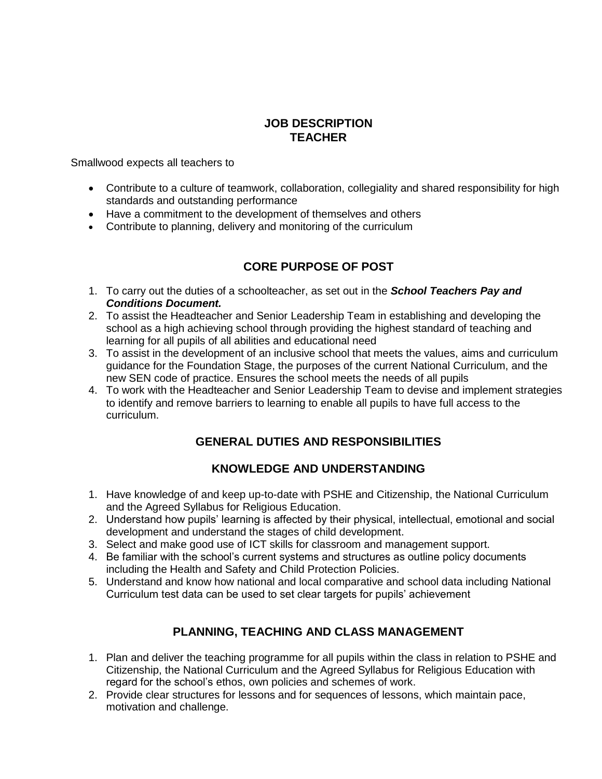## **JOB DESCRIPTION TEACHER**

Smallwood expects all teachers to

- Contribute to a culture of teamwork, collaboration, collegiality and shared responsibility for high standards and outstanding performance
- Have a commitment to the development of themselves and others
- Contribute to planning, delivery and monitoring of the curriculum

# **CORE PURPOSE OF POST**

- 1. To carry out the duties of a schoolteacher, as set out in the *School Teachers Pay and Conditions Document.*
- 2. To assist the Headteacher and Senior Leadership Team in establishing and developing the school as a high achieving school through providing the highest standard of teaching and learning for all pupils of all abilities and educational need
- 3. To assist in the development of an inclusive school that meets the values, aims and curriculum guidance for the Foundation Stage, the purposes of the current National Curriculum, and the new SEN code of practice. Ensures the school meets the needs of all pupils
- 4. To work with the Headteacher and Senior Leadership Team to devise and implement strategies to identify and remove barriers to learning to enable all pupils to have full access to the curriculum.

### **GENERAL DUTIES AND RESPONSIBILITIES**

### **KNOWLEDGE AND UNDERSTANDING**

- 1. Have knowledge of and keep up-to-date with PSHE and Citizenship, the National Curriculum and the Agreed Syllabus for Religious Education.
- 2. Understand how pupils' learning is affected by their physical, intellectual, emotional and social development and understand the stages of child development.
- 3. Select and make good use of ICT skills for classroom and management support.
- 4. Be familiar with the school's current systems and structures as outline policy documents including the Health and Safety and Child Protection Policies.
- 5. Understand and know how national and local comparative and school data including National Curriculum test data can be used to set clear targets for pupils' achievement

### **PLANNING, TEACHING AND CLASS MANAGEMENT**

- 1. Plan and deliver the teaching programme for all pupils within the class in relation to PSHE and Citizenship, the National Curriculum and the Agreed Syllabus for Religious Education with regard for the school's ethos, own policies and schemes of work.
- 2. Provide clear structures for lessons and for sequences of lessons, which maintain pace, motivation and challenge.